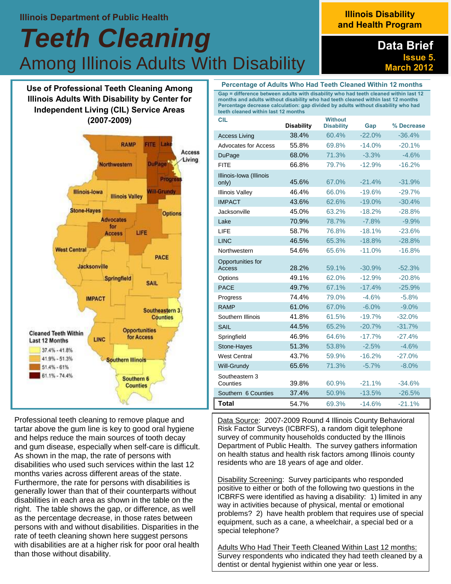#### **Illinois Department of Public Health**

# *Teeth Cleaning*  Among Illinois Adults With Disability

## **Illinois Disability and Health Program**

## **Data Brief Issue 5. March 2012**

**Use of Professional Teeth Cleaning Among Illinois Adults With Disability by Center for Independent Living (CIL) Service Areas (2007-2009)**



Professional teeth cleaning to remove plaque and tartar above the gum line is key to good oral hygiene and helps reduce the main sources of tooth decay and gum disease, especially when self-care is difficult. As shown in the map, the rate of persons with disabilities who used such services within the last 12 months varies across different areas of the state. Furthermore, the rate for persons with disabilities is generally lower than that of their counterparts without disabilities in each area as shown in the table on the right. The table shows the gap, or difference, as well as the percentage decrease, in those rates between persons with and without disabilities. Disparities in the rate of teeth cleaning shown here suggest persons with disabilities are at a higher risk for poor oral health than those without disability.

| Gap = difference between adults with disability who had teeth cleaned within last 12<br>months and adults without disability who had teeth cleaned within last 12 months<br>Percentage decrease calculation: gap divided by adults without disability who had<br>teeth cleaned within last 12 months |                   |                                     |          |            |  |
|------------------------------------------------------------------------------------------------------------------------------------------------------------------------------------------------------------------------------------------------------------------------------------------------------|-------------------|-------------------------------------|----------|------------|--|
| CIL                                                                                                                                                                                                                                                                                                  | <b>Disability</b> | <b>Without</b><br><b>Disability</b> | Gap      | % Decrease |  |
| <b>Access Living</b>                                                                                                                                                                                                                                                                                 | 38.4%             | 60.4%                               | -22.0%   | -36.4%     |  |
| <b>Advocates for Access</b>                                                                                                                                                                                                                                                                          | 55.8%             | 69.8%                               | $-14.0%$ | $-20.1%$   |  |
| DuPage                                                                                                                                                                                                                                                                                               | 68.0%             | 71.3%                               | $-3.3%$  | $-4.6%$    |  |
| <b>FITE</b>                                                                                                                                                                                                                                                                                          | 66.8%             | 79.7%                               | $-12.9%$ | $-16.2%$   |  |
| Illinois-Iowa (Illinois<br>only)                                                                                                                                                                                                                                                                     | 45.6%             | 67.0%                               | $-21.4%$ | $-31.9%$   |  |
| <b>Illinois Valley</b>                                                                                                                                                                                                                                                                               | 46.4%             | 66.0%                               | $-19.6%$ | $-29.7\%$  |  |
| <b>IMPACT</b>                                                                                                                                                                                                                                                                                        | 43.6%             | 62.6%                               | $-19.0%$ | $-30.4%$   |  |
| Jacksonville                                                                                                                                                                                                                                                                                         | 45.0%             | 63.2%                               | $-18.2%$ | $-28.8%$   |  |
| Lake                                                                                                                                                                                                                                                                                                 | 70.9%             | 78.7%                               | $-7.8%$  | $-9.9%$    |  |
| <b>LIFE</b>                                                                                                                                                                                                                                                                                          | 58.7%             | 76.8%                               | $-18.1%$ | $-23.6%$   |  |
| <b>LINC</b>                                                                                                                                                                                                                                                                                          | 46.5%             | 65.3%                               | $-18.8%$ | $-28.8%$   |  |
| Northwestern                                                                                                                                                                                                                                                                                         | 54.6%             | 65.6%                               | $-11.0%$ | $-16.8%$   |  |
| Opportunities for<br><b>Access</b>                                                                                                                                                                                                                                                                   | 28.2%             | 59.1%                               | $-30.9%$ | $-52.3%$   |  |
| Options                                                                                                                                                                                                                                                                                              | 49.1%             | 62.0%                               | $-12.9%$ | $-20.8%$   |  |
| <b>PACE</b>                                                                                                                                                                                                                                                                                          | 49.7%             | 67.1%                               | $-17.4%$ | -25.9%     |  |
| Progress                                                                                                                                                                                                                                                                                             | 74.4%             | 79.0%                               | $-4.6%$  | $-5.8%$    |  |
| <b>RAMP</b>                                                                                                                                                                                                                                                                                          | 61.0%             | 67.0%                               | $-6.0\%$ | $-9.0\%$   |  |
| Southern Illinois                                                                                                                                                                                                                                                                                    | 41.8%             | 61.5%                               | $-19.7%$ | $-32.0%$   |  |
| <b>SAIL</b>                                                                                                                                                                                                                                                                                          | 44.5%             | 65.2%                               | $-20.7%$ | $-31.7%$   |  |
| Springfield                                                                                                                                                                                                                                                                                          | 46.9%             | 64.6%                               | $-17.7%$ | $-27.4%$   |  |
| Stone-Hayes                                                                                                                                                                                                                                                                                          | 51.3%             | 53.8%                               | $-2.5%$  | $-4.6%$    |  |
| <b>West Central</b>                                                                                                                                                                                                                                                                                  | 43.7%             | 59.9%                               | $-16.2%$ | $-27.0%$   |  |
| Will-Grundy                                                                                                                                                                                                                                                                                          | 65.6%             | 71.3%                               | $-5.7%$  | $-8.0%$    |  |
| Southeastern 3<br>Counties                                                                                                                                                                                                                                                                           | 39.8%             | 60.9%                               | $-21.1%$ | $-34.6%$   |  |
| Southern 6 Counties                                                                                                                                                                                                                                                                                  | 37.4%             | 50.9%                               | $-13.5%$ | $-26.5%$   |  |
| Total                                                                                                                                                                                                                                                                                                | 54.7%             | 69.3%                               | $-14.6%$ | $-21.1%$   |  |

**Percentage of Adults Who Had Teeth Cleaned Within 12 months**

Data Source: 2007-2009 Round 4 Illinois County Behavioral Risk Factor Surveys (ICBRFS), a random digit telephone survey of community households conducted by the Illinois Department of Public Health. The survey gathers information on health status and health risk factors among Illinois county residents who are 18 years of age and older.

Disability Screening: Survey participants who responded positive to either or both of the following two questions in the ICBRFS were identified as having a disability: 1) limited in any way in activities because of physical, mental or emotional problems? 2) have health problem that requires use of special equipment, such as a cane, a wheelchair, a special bed or a special telephone?

Adults Who Had Their Teeth Cleaned Within Last 12 months: Survey respondents who indicated they had teeth cleaned by a dentist or dental hygienist within one year or less.